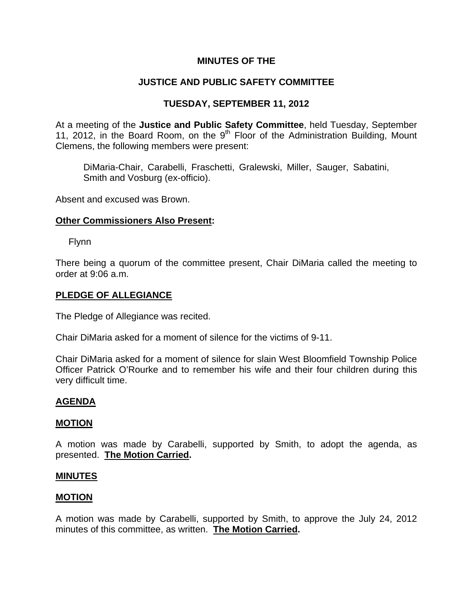# **MINUTES OF THE**

# **JUSTICE AND PUBLIC SAFETY COMMITTEE**

# **TUESDAY, SEPTEMBER 11, 2012**

At a meeting of the **Justice and Public Safety Committee**, held Tuesday, September 11, 2012, in the Board Room, on the 9<sup>th</sup> Floor of the Administration Building, Mount Clemens, the following members were present:

DiMaria-Chair, Carabelli, Fraschetti, Gralewski, Miller, Sauger, Sabatini, Smith and Vosburg (ex-officio).

Absent and excused was Brown.

### **Other Commissioners Also Present:**

Flynn

There being a quorum of the committee present, Chair DiMaria called the meeting to order at 9:06 a.m.

### **PLEDGE OF ALLEGIANCE**

The Pledge of Allegiance was recited.

Chair DiMaria asked for a moment of silence for the victims of 9-11.

Chair DiMaria asked for a moment of silence for slain West Bloomfield Township Police Officer Patrick O'Rourke and to remember his wife and their four children during this very difficult time.

## **AGENDA**

### **MOTION**

A motion was made by Carabelli, supported by Smith, to adopt the agenda, as presented. **The Motion Carried.** 

### **MINUTES**

### **MOTION**

A motion was made by Carabelli, supported by Smith, to approve the July 24, 2012 minutes of this committee, as written. **The Motion Carried.**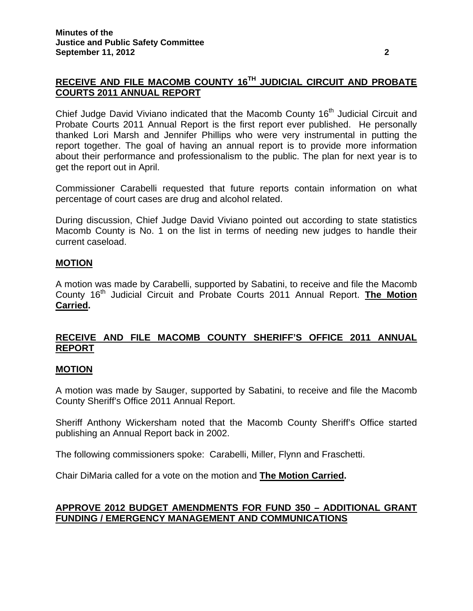# **RECEIVE AND FILE MACOMB COUNTY 16TH JUDICIAL CIRCUIT AND PROBATE COURTS 2011 ANNUAL REPORT**

Chief Judge David Viviano indicated that the Macomb County 16<sup>th</sup> Judicial Circuit and Probate Courts 2011 Annual Report is the first report ever published. He personally thanked Lori Marsh and Jennifer Phillips who were very instrumental in putting the report together. The goal of having an annual report is to provide more information about their performance and professionalism to the public. The plan for next year is to get the report out in April.

Commissioner Carabelli requested that future reports contain information on what percentage of court cases are drug and alcohol related.

During discussion, Chief Judge David Viviano pointed out according to state statistics Macomb County is No. 1 on the list in terms of needing new judges to handle their current caseload.

# **MOTION**

A motion was made by Carabelli, supported by Sabatini, to receive and file the Macomb County 16th Judicial Circuit and Probate Courts 2011 Annual Report. **The Motion Carried.** 

# **RECEIVE AND FILE MACOMB COUNTY SHERIFF'S OFFICE 2011 ANNUAL REPORT**

## **MOTION**

A motion was made by Sauger, supported by Sabatini, to receive and file the Macomb County Sheriff's Office 2011 Annual Report.

Sheriff Anthony Wickersham noted that the Macomb County Sheriff's Office started publishing an Annual Report back in 2002.

The following commissioners spoke: Carabelli, Miller, Flynn and Fraschetti.

Chair DiMaria called for a vote on the motion and **The Motion Carried.** 

# **APPROVE 2012 BUDGET AMENDMENTS FOR FUND 350 – ADDITIONAL GRANT FUNDING / EMERGENCY MANAGEMENT AND COMMUNICATIONS**